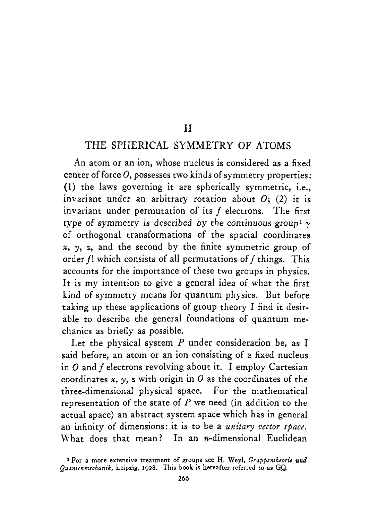#### I1

#### THE SPHERICAL SYMMETRY OF ATOMS

An atom or an ion, whose nucleus is considered as a fixed center of force  $O$ , possesses two kinds of symmetry properties: (1) the laws governing it are spherically symmetric, i.e., invariant under an arbitrary rotation about 0; **(2)** it is invariant under permutation of its *f* electrons. The first type of symmetry is described by the continuous group<sup>1</sup>  $\gamma$ of orthogonal transformations of the spacial coordinates  $x, y, z$ , and the second by the finite symmetric group of order  $f!$  which consists of all permutations of  $f$  things. This accounts for the importance of these two groups in physics. It **is** my intention to give a general idea of what the first kind of symmetry means for quantum physics. But before taking up these applications of group theory I find it desirable to describe the general foundations of quantum mechanics as briefly as possible.

Let the physical system *P* under consideration be, as I said before, an atom or an ion consisting of a fixed nucleus in *0* and *f* electrons revolving about it. I employ Cartesian coordinates  $x$ ,  $y$ ,  $z$  with origin in  $O$  as the coordinates of the three-dimensional physical space. For the mathematical representation of the state of *P* we need (in addition to the actual space) an abstract system space which has in general an infinity of dimensions: it is to be **a** *unitary vector space.*  What does that mean? In an  $n$ -dimensional Euclidean

**<sup>1</sup>For a more extensive treatment of groups see H. Weyl,** *Gruppentheoric und Quantenmechanik,* **Leipzig, 1928. This book is hereafter referred to as** *GQ.*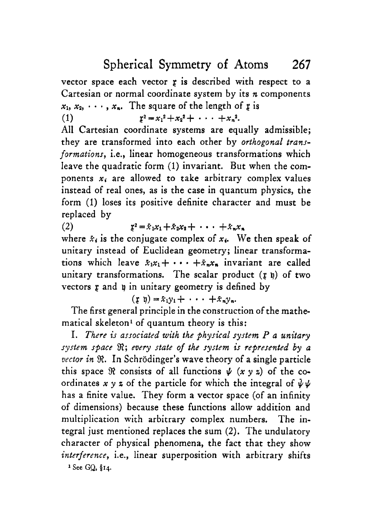Spherical Symmetry of Atoms **267** 

vector space each vector  $r$  is described with respect to a Cartesian or normal coordinate system by its *n* components  $x_1, x_2, \dots, x_n$ . The square of the length of **g** is

(1)  $x^2 = x_1^2 + x_2^2 + \cdots + x_n^2$ .

**All** Cartesian coordinate systems are equally admissible; they are transformed into each other by *orthogonal transformations, i.e., linear homogeneous transformations which* leave the quadratic form (1) invariant. But when the components  $x_i$  are allowed to take arbitrary complex values instead of real ones, as **is** the case in quantum physics, the form (1) loses its positive definite character and must be replaced by

(2)  $x^2 = \bar{x}_1 x_1 + \bar{x}_2 x_2 + \cdots + \bar{x}_n x_n$ 

where  $\dot{x}_i$  is the conjugate complex of  $x_i$ . We then speak of unitary instead of Euclidean geometry; linear transformations which leave  $\bar{x}_1x_1 + \cdots + \bar{x}_nx_n$  invariant are called unitary transformations. The scalar product  $(r h)$  of two vectors **r** and *q* in unitary geometry is defined by

 $(\mathbf{r} \ \mathbf{v}) = \bar{x}_1 y_1 + \cdots + \bar{x}_n y_n.$ 

The first general principle in the construction of the mathematical skeleton<sup>1</sup> of quantum theory is this:

I. *There is associated with the physical system P a unitary system space 8; every state of the system is represented by* **<sup>a</sup>** *vector in* R. In Schrodinger's wave theory of a single particle this space  $\Re$  consists of all functions  $\psi$  (x  $\nu$  z) of the coordinates  $x \vee z$  of the particle for which the integral of  $\overrightarrow{\psi}\psi$ has a finite value. They form a vector space (of an infinity of dimensions) because these functions allow addition and multiplication with arbitrary complex numbers. The integral just mentioned replaces the sum **(2).** The undulatory character of physical phenomena, the fact that they show *interference,* i.e., linear superposition with arbitrary shifts **1 See** GQ, **i14.**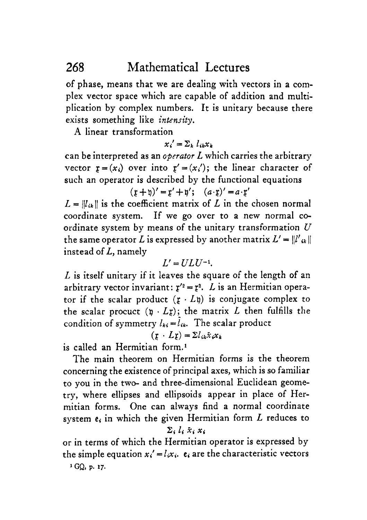of phase, means that we are dealing with vectors in a complex vector space which are capable of addition and multiplication by complex numbers. It is unitary because there exists something like *intensity.* 

**A** linear transformation

$$
x_i' = \sum_k l_{ik} x_k
$$

can be interpreted *as* an *operator L* which carries the arbitrary vector  $\mathbf{r} = (x_i)$  over into  $\mathbf{r}' = (x_i')$ ; the linear character of such an operator is described by the functional equations

$$
(\mathfrak{x} + \mathfrak{y})' = \mathfrak{x}' + \mathfrak{y}'; \quad (a \cdot \mathfrak{x})' = a \cdot \mathfrak{x}'
$$

 $L = ||l_{ik}||$  is the coefficient matrix of *L* in the chosen normal coordinate system. If we go over to **a** new normal coordinate system by means of the unitary transformation *U*  the same operator *L* is expressed by another matrix  $L' = ||l'|_{ik}$ instead of *L,* namely

$$
L'=ULU^{-1}.
$$

*L* is itself unitary if it leaves the square of the length of an arbitrary vector invariant:  $r'^2 = r^2$ . *L* is an Hermitian operator if the scalar product  $(r \cdot Lq)$  is conjugate complex to the scalar procuct  $(p \cdot Lr)$ ; the matrix *L* then fulfills the condition of symmetry  $l_{ki} = l_{ik}$ . The scalar product

 $(r \cdot Lr) = \sum l_{ik}x_ix_k$ 

is called an Hermitian form.'

The main theorem on Hermitian forms is the theorem concerning the existence of principal axes, which is so familiar to you in the two- and three-dimensional Euclidean geometry, where ellipses and ellipsoids appear in place of Hermitian forms. One can always find a normal coordinate system  $e_i$  in which the given Hermitian form *L* reduces to

#### $\Sigma_i l_i \tilde{x}_i x_i$

or in terms of which the Hermitian operator is expressed by the simple equation  $x_i' = l_i x_i$ .  $\epsilon_i$  are the characteristic vectors

*GQ,* **P. 17.**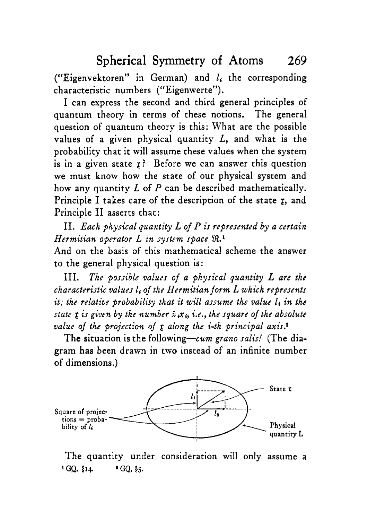("Eigenvektoren" in German) and *14* the corresponding characteristic numbers ("Eigenwerte").

**I** can express the second and third general principles of quantum theory in terms of these notions. The general question of quantum theory is this: What are the possible values of a given physical quantity *L,* and what is the probability that it will assume these values when the system is in a given state *r?* Before we can answer this question we must know how the state of our physical system and how any quantity *L* of *P* can be described mathematically. Principle I takes care of the description of the state **g,** and Principle I1 asserts that:

11. *Each physical quantity L of P ir represented by a certain Hermitian operator L in system space* **9l.1** 

And on the basis of this mathematical scheme the answer to the general physical question is:

*The possible values of a physical quantity L ure the characteristic values li* of *the Hermitian* form *L which represents it; the relative probability that it will assume the value l<sub>i</sub> in the state g is given by the number*  $\bar{x}$ , $\dot{x}$ , *i.e., the square of the absolute value of the projection* of **g** *along the i-th principal axis.'*  111.

The situation is the following-cum *grano salis!* (The diagram has been drawn in two instead of an infinite number **of** dimensions.)



The quantity under consideration will only assume a  $^{1}$  **GQ,**  $\frac{6}{3}$ **14.**  $^{2}$  **GQ,**  $\frac{6}{3}$ **5.**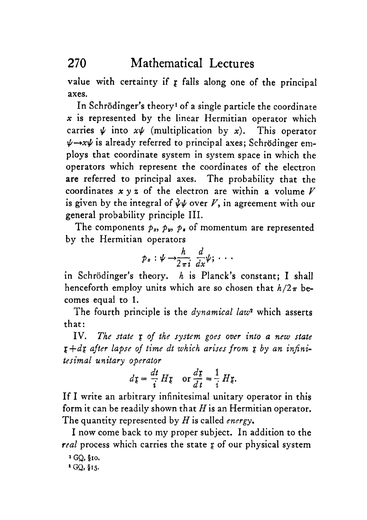value with certainty if **g** falls along one of the principal axes.

In Schrodinger's theory' of a single particle the coordinate *x* is represented by the linear Hermitian operator which carries  $\psi$  into  $x\psi$  (multiplication by x). This operator  $\psi \rightarrow x\psi$  is already referred to principal axes: Schrödinger employs that coordinate system in system space in which the operators which represent the coordinates of the electron are referred to principal axes. The probability that the coordinates  $x \vee z$  of the electron are within a volume  $V$ is given by the integral of  $\psi \psi$  over  $V$ , in agreement with our general probability principle 111.

The components  $p_x$ ,  $p_y$ ,  $p_x$  of momentum are represented by the Hermitian operators

$$
p_x:\psi\to\frac{h}{2\pi i}\frac{d}{dx}\psi;\cdots
$$

in Schrodinger's theory. *h* is Planck's constant; I shall henceforth employ units which are so chosen that  $h/2\pi$  becomes equal to l.

The fourth principle is the *dynamical law2* which asserts that:

IV. The state *I* of the system goes over into a new state *g+df after lapse of time dt which arises from f by an infinitesimal unitary operator* 

$$
d\mathfrak{r} = \frac{dt}{i} H\mathfrak{r} \quad \text{or } \frac{d\mathfrak{r}}{dt} = \frac{1}{i} H\mathfrak{r}.
$$

If I write an arbitrary infinitesimal unitary operator in this form it can be readily shown that  $H$  is an Hermitian operator. The quantity represented by His called *energy.* 

I now come back to my proper subject. In addition to the *real* process which carries the state **g** of our physical system

**a** GQ, **\$15.** 

*GQ,* **5x0.**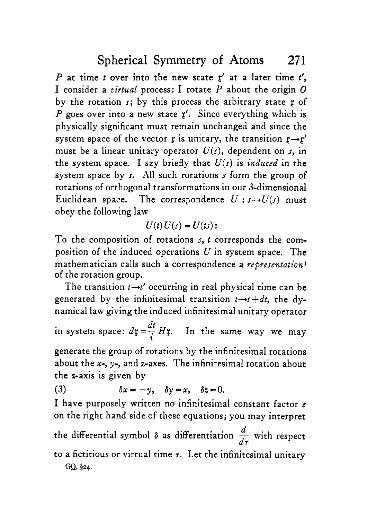*P* at time *t* over into the new state *r'* at a later time *t',*  I consider a *airtual* process: I rotate *P* about the origin 0 by the rotation **J;** by this process the arbitrary state *r* of *P* goes over into a new state **g'.** Since everything which is physically significant must remain unchanged and since the system space of the vector **g** is unitary, the transition  $r \rightarrow r'$ must be a linear unitary operator  $U(s)$ , dependent on s, in the system space. I say briefly that  $U(s)$  is *induced* in the system space by **J.** All such rotations **J** form the group of rotations of orthogonal transformations in our 3-dimensional Euclidean space. The correspondence  $U : s \rightarrow U(s)$  must obey the following law

$$
U(t)U(s)=U(ts):
$$

To the composition of rotations s, *t* corresponds the composition of the induced operations *U* in system space. The mathematician calls such a correspondence a *representation<sup>1</sup>* of the rotation group.

The transition  $t \rightarrow t'$  occurring in real physical time can be generated by the infinitesimal transition  $t \rightarrow t + dt$ , the dynamical law giving the induced infinitesimal unitary operator

in system space:  $d\mathfrak{x} = \frac{dt}{dt} H\mathfrak{x}$ . In the same way we may generate the group of rotations by the infinitesimal rotations about the *x-,* y-, and z-axes. The infinitesimal rotation about z

the z-axis is given by

(3)  $\delta x = -\gamma$ ,  $\delta y = x$ ,  $\delta z = 0$ .

I have purposely written no infinitesimal constant factor **<sup>c</sup>** on the right hand side of these equations; you may interpret

on the right hand side of these equations; you may interpret<br>the differential symbol  $\delta$  as differentiation  $\frac{d}{d\tau}$  with respect to a fictitious or virtual time  $\tau$ . Let the infinitesimal unitary *d d.r* 

GQ, §24.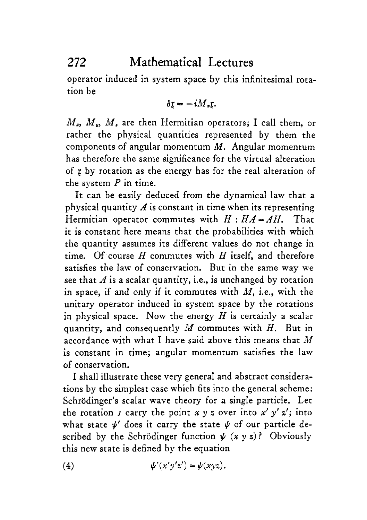operator induced in system space by this infinitesimal rotation be

$$
\delta \mathfrak{x} = -i M_z \mathfrak{x}.
$$

*M,, M,, M,* are then Hermitian operators; I call them, or rather the physical quantities represented by them the components of angular momentum *M.* Angular momentum has therefore the same significance for the virtual alteration of **g** by rotation as the energy has for the real alteration of the system  $P$  in time.

It can be easily deduced from the dynamical law that a physical quantity *A* is constant in time when its representing Hermitian operator commutes with  $H: HA = AH$ . That it is constant here means that the probabilities with which the quantity assumes its different values do not change in time. Of course *H* commutes with *H* itself, and therefore satisfies the law of conservation. But in the same way we see that  $A$  is a scalar quantity, i.e., is unchanged by rotation in space, if and only if it commutes with *M,* i.e., with the unitary operator induced in system space by the rotations in physical space. Now the energy  $H$  is certainly a scalar quantity, and consequently *M* commutes with *H.* But in accordance with what I have said above this means that *M*  **is** constant in time; angular momentum satisfies the law of conservation.

I shall illustrate these very general and abstract considerations by the simplest case which fits into the general scheme: Schrödinger's scalar wave theory for a single particle. Let the rotation *s* carry the point  $x \vee z$  over into  $x' \vee z'$ ; into what state  $\psi'$  does it carry the state  $\psi$  of our particle described by the Schrödinger function  $\psi$   $(x \vee z)$ ? Obviously this new state **is** defined by the equation

(4) 
$$
\psi'(x'y'z') = \psi(xyz).
$$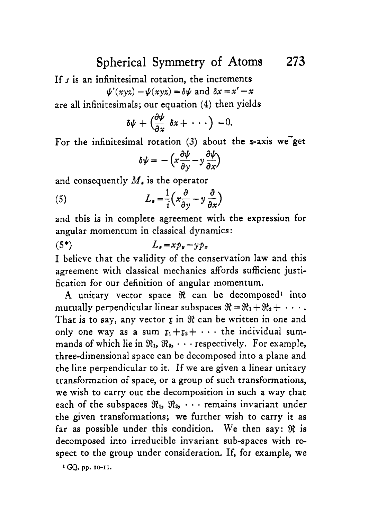### Spherical Symmetry of Atoms **273**

If *3* is an infinitesimal rotation, the increments

$$
\psi'(xyz) - \psi(xyz) = \delta \psi \text{ and } \delta x = x' - x
$$

are all infinitesimals; our equation **(4)** then yields

$$
\delta\psi+\left(\frac{\partial\psi}{\partial x}\,\delta x+\,\cdots\right)=0.
$$

For the infinitesimal rotation  $(3)$  about the *z*-axis we get

$$
\delta \psi = -\left(x \frac{\partial \psi}{\partial y} - y \frac{\partial \psi}{\partial x}\right)
$$

and consequently *M,* is the operator

(5) 
$$
L_{\bullet} = \frac{1}{i} \left( x \frac{\partial}{\partial y} - y \frac{\partial}{\partial x} \right)
$$

and this is in complete agreement with the expression for angular momentum in classical dynamics:

$$
(5^*)\qquad \qquad L_s = x p_v - y p_x
$$

I believe that the validity of the conservation law and this agreement with classical mechanics affords sufficient justification for our definition of angular momentum.

A unitary vector space  $\Re$  can be decomposed<sup>1</sup> into mutually perpendicular linear subspaces  $\mathfrak{R} = \mathfrak{R}_1 + \mathfrak{R}_2 + \cdots$ . That is to say, any vector *x* in  $\Re$  can be written in one and only one way as a sum  $x_1 + x_2 + \cdots$  the individual summands of which lie in  $\mathfrak{R}_1, \mathfrak{R}_2, \cdots$  respectively. For example, three-dimensional space can be decomposed into a plane and the line perpendicular to it. If we are given a linear unitary transformation of space, or a group of such transformations, we wish to carry out the decomposition in such a way that each of the subspaces  $\mathfrak{R}_1$ ,  $\mathfrak{R}_2$ ,  $\cdots$  remains invariant under the given transformations; we further wish to carry it as far as possible under this condition. **We** then say: **2** is decomposed into irreducible invariant sub-spaces with respect to the group under consideration. If, for example, we

**f** *GQ,* **pp. 10-11.**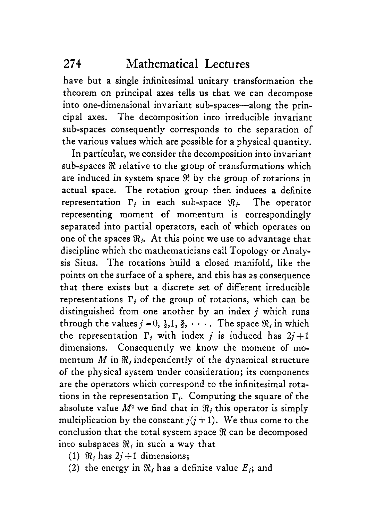have but a single infinitesimal unitary transformation the theorem on principal axes tells us that we can decompose into one-dimensional invariant sub-spaces-along the principal axes. The decomposition into irreducible invariant sub-spaces consequently corresponds to the separation of the various values which are possible for a physical quantity.

In particular, we consider the decomposition into invariant sub-spaces  $\Re$  relative to the group of transformations which are induced in system space  $\Re$  by the group of rotations in actual space. The rotation group then induces a definite representation  $\Gamma_i$  in each sub-space  $\mathcal{R}_i$ . The operator representing moment of momentum is correspondingly separated into partial operators, each of which operates on one of the spaces  $\mathcal{R}_i$ . At this point we use to advantage that discipline which the mathematicians call Topology or Analysis Situs. The rotations build a closed manifold, like the points on the surface of a sphere, and this has as consequence that there exists but a discrete set of different irreducible representations  $\Gamma_i$  of the group of rotations, which can be distinguished from one another by an index *j* which runs through the values  $i=0, \frac{1}{2}, 1, \frac{3}{2}, \cdots$ . The space  $\Re_i$  in which the representation  $\Gamma_i$  with index *j* is induced has  $2j+1$ dimensions. Consequently we know the moment of momentum  $M$  in  $\mathfrak{R}_i$  independently of the dynamical structure of the physical system under consideration; its components are the operators which correspond to the infinitesimal rotations in the representation  $\Gamma_i$ . Computing the square of the absolute value  $M^2$  we find that in  $\mathcal{R}_i$  this operator is simply multiplication by the constant  $i(i+1)$ . We thus come to the conclusion that the total system space  $\Re$  can be decomposed into subspaces  $\Re_i$  in such a way that

- (1)  $\Re_i$  has  $2i+1$  dimensions;
- (2) the energy in  $\mathcal{R}_i$  has a definite value  $E_i$ ; and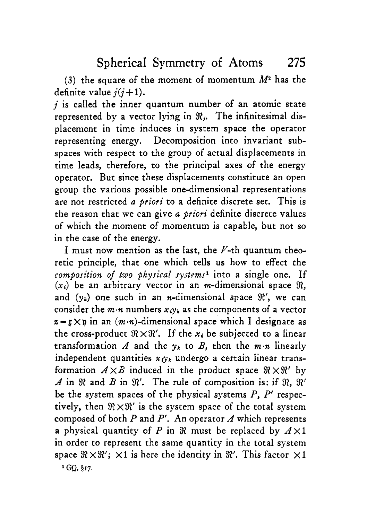**(3)** the square of the moment of momentum *Me* has the definite value  $i(i+1)$ .

*j* is called the inner quantum number of an atomic state represented by a vector lying in **Rj.** The infinitesimal displacement in time induces in system space the operator representing energy. Decomposition into invariant subspaces with respect to the group of actual displacements in time leads, therefore, to the principal axes of the energy operator. But since these displacements constitute an open group the various possible one-dimensional representations are not restricted *a priori* to a definite discrete set. This is the reason that we can give *a priori* definite discrete values of which the moment of momentum is capable, but not so in the case of the energy.

I must now mention as the last, the  $V$ -th quantum theoretic principle, that one which tells *us* how to effect the *composition of two physical systems'* into a single one. If  $(x_i)$  be an arbitrary vector in an *m*-dimensional space  $\Re$ . and  $(v_k)$  one such in an *n*-dimensional space  $\mathcal{R}'$ , we can consider the  $m \cdot n$  numbers  $x_i \circ k_i$  as the components of a vector  $z = r \times p$  in an  $(m \cdot n)$ -dimensional space which I designate as the cross-product  $\Re \times \Re'$ . If the  $x_i$  be subjected to a linear transformation *A* and the  $y_k$  to *B*, then the  $m \cdot n$  linearly independent quantities  $x_1x_2$  undergo a certain linear transformation  $A \times B$  induced in the product space  $\Re \times \Re'$  by *A* in  $\Re$  and *B* in  $\Re'$ . The rule of composition is: if  $\Re$ ,  $\Re'$ be the system spaces of the physical systems *P, P'* respectively, then  $\Re \times \Re'$  is the system space of the total system composed of both *P* and *P'.* An operator *A* which represents a physical quantity of *P* in  $\Re$  must be replaced by  $A \times 1$ in order to represent the same quantity in the total system space  $\mathcal{R} \times \mathcal{R}'$ :  $\times 1$  is here the identity in  $\mathcal{R}'$ . This factor  $\times 1$ *GQ,* **\$17.**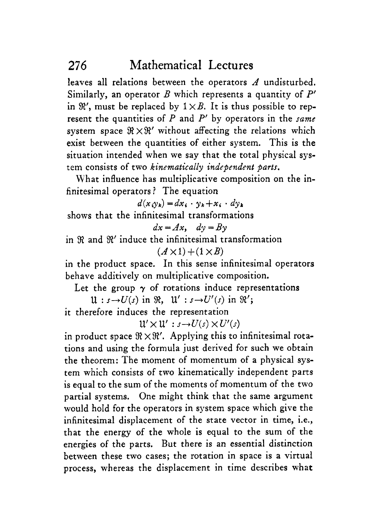leaves all relations between the operators *A* undisturbed. Similarly, an operator *B* which represents a quantity of *P'*  in  $\mathcal{R}'$ , must be replaced by  $1 \times B$ . It is thus possible to represent the quantities of *P* and *P'* by operators in the *same*  system space  $\Re \times \Re'$  without affecting the relations which exist between the quantities of either system. This is the situation intended when we say that the total physical system consists of two *kinematically independent parts.* 

What influence has multiplicative composition on the infinitesimal operators ? The equation

 $d(x_i, y_k) = dx_i \cdot y_k + x_i \cdot dy_k$ 

shows that the infinitesimal transformations

 $dx = Ax$ ,  $dy = By$ 

in % and **E'** induce the infinitesimal transformation  $(A \times 1) + (1 \times B)$ 

in the product space. In this sense infinitesimal operators behave additively on multiplicative composition.

Let the group  $\gamma$  of rotations induce representations

 $\mathfrak{U}: s \rightarrow U(s)$  in  $\Re$ ,  $\mathfrak{U}': s \rightarrow U'(s)$  in  $\Re'$ ;

it therefore induces the representation

 $W' \times W' : s \rightarrow U(s) \times U'(s)$ 

in product space  $\Re \times \Re'$ . Applying this to infinitesimal rotations and using the formula just derived for such we obtain the theorem: The moment of momentum of a physical system which consists of two kinematically independent parts is equal to the sum of the moments of momentum of the two partial systems. One might think that the same argument would hold for the operators in system space which give the infinitesimal displacement of the state vector in time, i.e., that the energy of the whole is equal to the sum of the energies of the parts. But there is an essential distinction between these two cases; the rotation in space is a virtual process, whereas the displacement in time describes what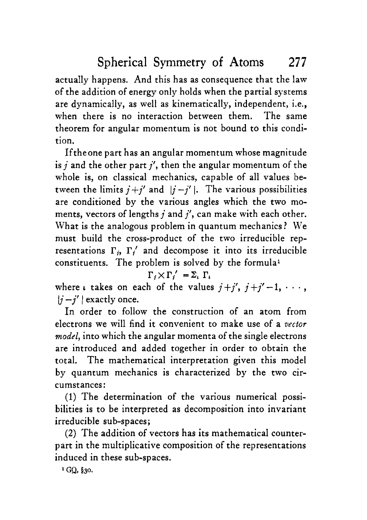actually happens. And this has as consequence that the law of the addition of energy only holds when the partial systems are dynamically, as well as kinematically, independent, i.e., when there is no interaction between them. The same theorem for angular momentum is not bound to this condition.

Iftheone part has an angular momentum whose magnitude is *j* and the other part *j',* then the angular momentum of the whole **is,** on classical mechanics, capable of all values between the limits  $j+j'$  and  $|j-j'|$ . The various possibilities are conditioned by the various angles which the two moments, vectors of lengths *j* and *j',* can make with each other. What is the analogous problem in quantum mechanics? We must build the cross-product of the two irreducible representations  $\Gamma_i$ ,  $\Gamma'_i$  and decompose it into its irreducible constituents. The problem is solved by the formula'

$$
\Gamma_i \times \Gamma_i' = \Sigma_i \Gamma_i
$$

where *i* takes on each of the values  $j+j'$ ,  $j+j'-1$ ,  $\cdots$ ,  $|j-j'|$  exactly once.

In order to follow the construction of an atom from electrons we will find it convenient to make use of a *vector model,* into which the angular momenta of the single electrons are introduced and added together in order to obtain the total. The mathematical interpretation given this model by quantum mechanics is characterized by the two circumstances:

(1) The determination of the various numerical possibilities **is** to be interpreted as decomposition into invariant irreducible sub-spaces;

**(2)** The addition of vectors has its mathematical counterpart in the multiplicative composition of the representations induced in these sub-spaces.

<sup>1</sup> GQ, §30.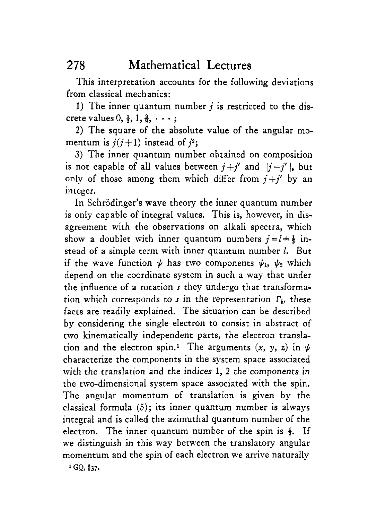This interpretation accounts for the following deviations from classical mechanics:

1) The inner quantum number *j* is restricted to the discrete values  $0, \frac{1}{2}, 1, \frac{3}{2}, \cdots;$ 

**2)** The square of the absolute value of the angular momentum is  $j(j+1)$  instead of  $j^2$ ;

3) The inner quantum number obtained on composition is not capable of all values between  $j+j'$  and  $|j-j'|$ , but only of those among them which differ from  $j+j'$  by an integer.

In Schrödinger's wave theory the inner quantum number is only capable of integral values. This is, however, in disagreement with the observations on alkali spectra, which show a doublet with inner quantum numbers  $j=l=\frac{1}{2}$  instead of a simple term with inner quantum number *1.* But if the wave function  $\psi$  has two components  $\psi_1$ ,  $\psi_2$  which depend on the coordinate system in such a way that under the influence of a rotation  $s$  they undergo that transformation which corresponds to  $s$  in the representation  $\Gamma$ , these facts are readily explained. The situation can be described by considering the single electron to consist in abstract of two kinematically independent parts, the electron translation and the electron spin.<sup>1</sup> The arguments  $(x, y, z)$  in  $\psi$ characterize the components in the system space associated with the translation and the indices 1, **2** the components in the two-dimensional system space associated with the spin. The angular momentum of translation is given by the classical formula *(5);* its inner quantum number is always integral and is called the azimuthal quantum number of the electron. The inner quantum number of the spin is  $\frac{1}{2}$ . If we distinguish in this way between the translatory angular momentum and the spin of each electron we arrive naturally

**1 GO, \$37.**